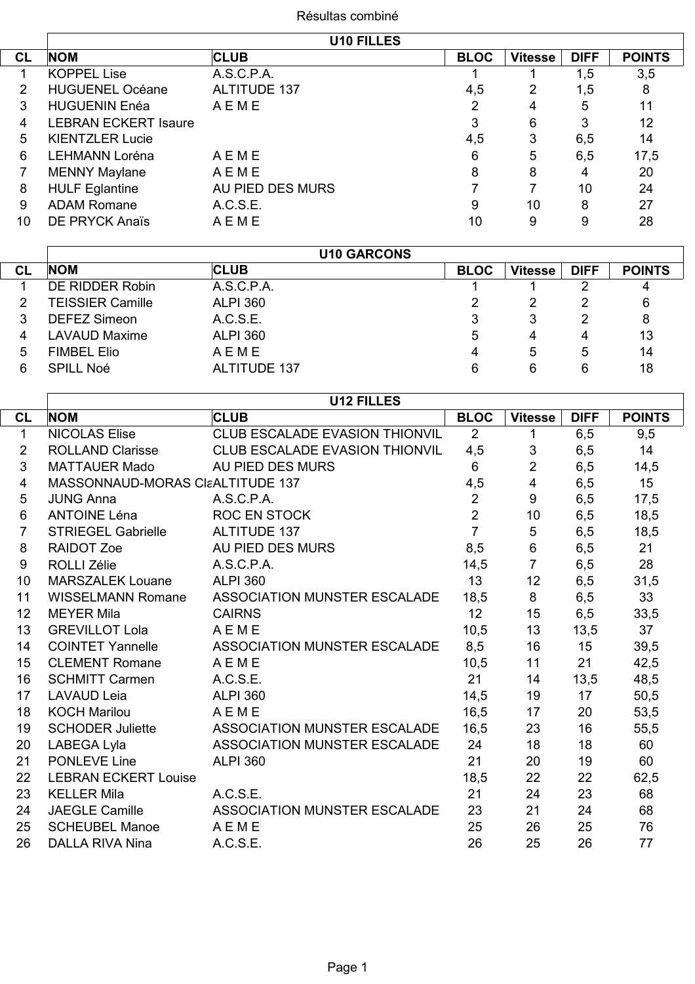## Résultas combiné

|           |                             | <b>U10 FILLES</b>   |             |                |             |               |
|-----------|-----------------------------|---------------------|-------------|----------------|-------------|---------------|
| <b>CL</b> | <b>NOM</b>                  | <b>CLUB</b>         | <b>BLOC</b> | <b>Vitesse</b> | <b>DIFF</b> | <b>POINTS</b> |
|           | <b>KOPPEL Lise</b>          | A.S.C.P.A.          |             |                | 1,5         | 3,5           |
|           | <b>HUGUENEL Océane</b>      | <b>ALTITUDE 137</b> | 4,5         | 2              | 1,5         | 8             |
| 3         | <b>HUGUENIN Enéa</b>        | AEME                | 2           | 4              | 5           | 11            |
| 4         | <b>LEBRAN ECKERT Isaure</b> |                     | 3           | 6              | 3           | 12            |
| 5         | <b>KIENTZLER Lucie</b>      |                     | 4,5         | 3              | 6,5         | 14            |
| 6         | <b>LEHMANN Loréna</b>       | AEME                | 6           | 5              | 6,5         | 17,5          |
|           | <b>MENNY Maylane</b>        | AEME                | 8           | 8              | 4           | 20            |
| 8         | <b>HULF Eglantine</b>       | AU PIED DES MURS    |             |                | 10          | 24            |
| 9         | <b>ADAM Romane</b>          | A.C.S.E.            | 9           | 10             | 8           | 27            |
| 10        | DE PRYCK Anaïs              | AEME                | 10          | 9              | 9           | 28            |

|    |                         | <b>U10 GARCONS</b>  |             |                |             |               |
|----|-------------------------|---------------------|-------------|----------------|-------------|---------------|
| CL | <b>NOM</b>              | <b>CLUB</b>         | <b>BLOC</b> | <b>Vitesse</b> | <b>DIFF</b> | <b>POINTS</b> |
|    | DE RIDDER Robin         | A.S.C.P.A.          |             |                |             |               |
|    | <b>TEISSIER Camille</b> | <b>ALPI 360</b>     | 2           | 2              | 2           | 6             |
|    | <b>DEFEZ Simeon</b>     | A.C.S.E.            | 3           | 3              | 2           | 8             |
| 4  | <b>LAVAUD Maxime</b>    | <b>ALPI 360</b>     | 5           | 4              | 4           | 13            |
| 5  | <b>FIMBEL Elio</b>      | AEME                | 4           | 5              | 5           | 14            |
| 6  | <b>SPILL Noé</b>        | <b>ALTITUDE 137</b> | 6           | 6              | 6           | 18            |
|    |                         |                     |             |                |             |               |

|                |                                  | <b>U12 FILLES</b>                     |                |                |             |               |
|----------------|----------------------------------|---------------------------------------|----------------|----------------|-------------|---------------|
| <b>CL</b>      | <b>NOM</b>                       | <b>CLUB</b>                           | <b>BLOC</b>    | <b>Vitesse</b> | <b>DIFF</b> | <b>POINTS</b> |
| 1              | <b>NICOLAS Elise</b>             | CLUB ESCALADE EVASION THIONVIL        | 2              | 1              | 6,5         | 9,5           |
| $\overline{2}$ | <b>ROLLAND Clarisse</b>          | <b>CLUB ESCALADE EVASION THIONVIL</b> | 4,5            | 3              | 6,5         | 14            |
| 3              | <b>MATTAUER Mado</b>             | AU PIED DES MURS                      | $6\phantom{1}$ | $\overline{2}$ | 6,5         | 14,5          |
| 4              | MASSONNAUD-MORAS CIaALTITUDE 137 |                                       | 4,5            | 4              | 6,5         | 15            |
| 5              | <b>JUNG Anna</b>                 | A.S.C.P.A.                            | $\overline{2}$ | 9              | 6,5         | 17,5          |
| 6              | <b>ANTOINE Léna</b>              | <b>ROC EN STOCK</b>                   | $\overline{2}$ | 10             | 6,5         | 18,5          |
| $\overline{7}$ | <b>STRIEGEL Gabrielle</b>        | <b>ALTITUDE 137</b>                   | $\overline{7}$ | $\mathbf 5$    | 6,5         | 18,5          |
| 8              | <b>RAIDOT Zoe</b>                | AU PIED DES MURS                      | 8,5            | 6              | 6,5         | 21            |
| 9              | <b>ROLLI Zélie</b>               | A.S.C.P.A.                            | 14,5           | $\overline{7}$ | 6,5         | 28            |
| 10             | <b>MARSZALEK Louane</b>          | <b>ALPI 360</b>                       | 13             | 12             | 6,5         | 31,5          |
| 11             | <b>WISSELMANN Romane</b>         | ASSOCIATION MUNSTER ESCALADE          | 18,5           | 8              | 6,5         | 33            |
| 12             | <b>MEYER Mila</b>                | <b>CAIRNS</b>                         | 12             | 15             | 6,5         | 33,5          |
| 13             | <b>GREVILLOT Lola</b>            | AEME                                  | 10,5           | 13             | 13,5        | 37            |
| 14             | <b>COINTET Yannelle</b>          | ASSOCIATION MUNSTER ESCALADE          | 8,5            | 16             | 15          | 39,5          |
| 15             | <b>CLEMENT Romane</b>            | AEME                                  | 10,5           | 11             | 21          | 42,5          |
| 16             | <b>SCHMITT Carmen</b>            | A.C.S.E.                              | 21             | 14             | 13,5        | 48,5          |
| 17             | <b>LAVAUD Leia</b>               | <b>ALPI 360</b>                       | 14,5           | 19             | 17          | 50,5          |
| 18             | <b>KOCH Marilou</b>              | AEME                                  | 16,5           | 17             | 20          | 53,5          |
| 19             | <b>SCHODER Juliette</b>          | ASSOCIATION MUNSTER ESCALADE          | 16,5           | 23             | 16          | 55,5          |
| 20             | LABEGA Lyla                      | ASSOCIATION MUNSTER ESCALADE          | 24             | 18             | 18          | 60            |
| 21             | <b>PONLEVE Line</b>              | <b>ALPI 360</b>                       | 21             | 20             | 19          | 60            |
| 22             | <b>LEBRAN ECKERT Louise</b>      |                                       | 18,5           | 22             | 22          | 62,5          |
| 23             | <b>KELLER Mila</b>               | A.C.S.E.                              | 21             | 24             | 23          | 68            |
| 24             | <b>JAEGLE Camille</b>            | ASSOCIATION MUNSTER ESCALADE          | 23             | 21             | 24          | 68            |
| 25             | <b>SCHEUBEL Manoe</b>            | <b>AEME</b>                           | 25             | 26             | 25          | 76            |
| 26             | <b>DALLA RIVA Nina</b>           | A.C.S.E.                              | 26             | 25             | 26          | 77            |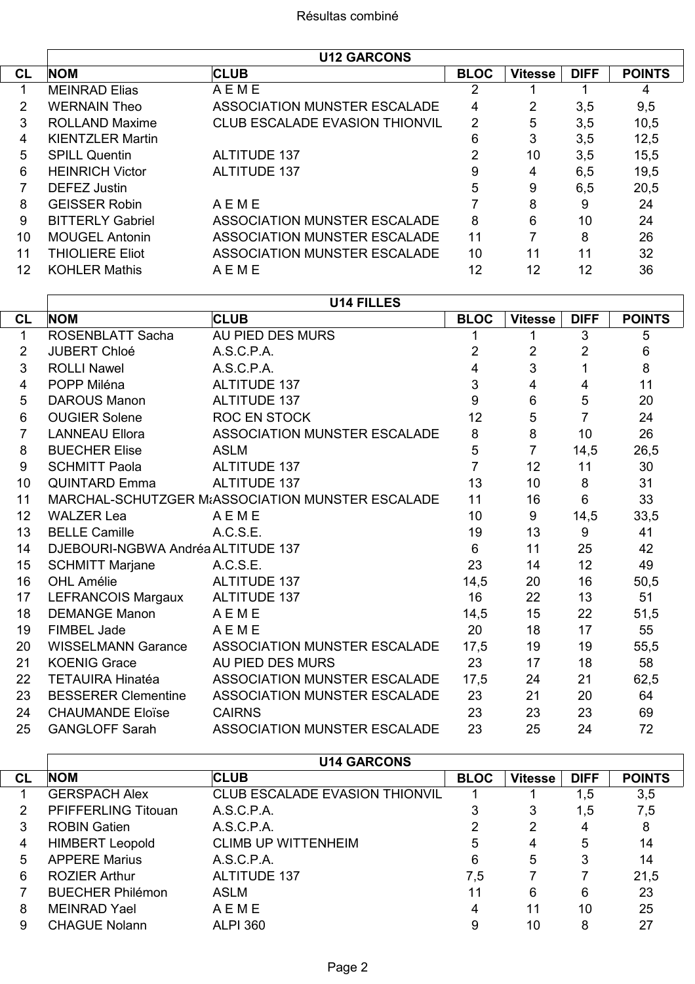$\overline{\phantom{a}}$ 

Γ

|           | <b>U12 GARCONS</b>      |                                       |             |                |             |               |  |
|-----------|-------------------------|---------------------------------------|-------------|----------------|-------------|---------------|--|
| <b>CL</b> | <b>NOM</b>              | <b>CLUB</b>                           | <b>BLOC</b> | <b>Vitesse</b> | <b>DIFF</b> | <b>POINTS</b> |  |
|           | <b>MEINRAD Elias</b>    | AEME                                  | 2           |                |             | 4             |  |
| 2         | <b>WERNAIN Theo</b>     | ASSOCIATION MUNSTER ESCALADE          | 4           | 2              | 3,5         | 9,5           |  |
| 3         | <b>ROLLAND Maxime</b>   | <b>CLUB ESCALADE EVASION THIONVIL</b> | 2           | 5              | 3,5         | 10,5          |  |
| 4         | <b>KIENTZLER Martin</b> |                                       | 6           | 3              | 3,5         | 12,5          |  |
| 5         | <b>SPILL Quentin</b>    | <b>ALTITUDE 137</b>                   | 2           | 10             | 3,5         | 15,5          |  |
| 6         | <b>HEINRICH Victor</b>  | <b>ALTITUDE 137</b>                   | 9           | 4              | 6,5         | 19,5          |  |
|           | DEFEZ Justin            |                                       | 5           | 9              | 6,5         | 20,5          |  |
| 8         | <b>GEISSER Robin</b>    | AEME                                  |             | 8              | 9           | 24            |  |
| 9         | <b>BITTERLY Gabriel</b> | ASSOCIATION MUNSTER ESCALADE          | 8           | 6              | 10          | 24            |  |
| 10        | <b>MOUGEL Antonin</b>   | ASSOCIATION MUNSTER ESCALADE          | 11          |                | 8           | 26            |  |
| 11        | <b>THIOLIERE Eliot</b>  | ASSOCIATION MUNSTER ESCALADE          | 10          | 11             | 11          | 32            |  |
| 12        | <b>KOHLER Mathis</b>    | AEME                                  | 12          | 12             | 12          | 36            |  |

|                | <b>U14 FILLES</b>                                |                                     |                |                |                |               |  |
|----------------|--------------------------------------------------|-------------------------------------|----------------|----------------|----------------|---------------|--|
| <b>CL</b>      | <b>NOM</b>                                       | <b>CLUB</b>                         | <b>BLOC</b>    | <b>Vitesse</b> | <b>DIFF</b>    | <b>POINTS</b> |  |
| 1              | <b>ROSENBLATT Sacha</b>                          | AU PIED DES MURS                    | 1              | 1              | 3              | 5             |  |
| $\overline{2}$ | <b>JUBERT Chloé</b>                              | A.S.C.P.A.                          | 2              | $\overline{2}$ | $\overline{2}$ | 6             |  |
| 3              | <b>ROLLI Nawel</b>                               | A.S.C.P.A.                          | 4              | 3              | 1              | 8             |  |
| 4              | POPP Miléna                                      | <b>ALTITUDE 137</b>                 | 3              | 4              | $\overline{4}$ | 11            |  |
| 5              | <b>DAROUS Manon</b>                              | ALTITUDE 137                        | 9              | 6              | 5              | 20            |  |
| 6              | <b>OUGIER Solene</b>                             | ROC EN STOCK                        | 12             | 5              | $\overline{7}$ | 24            |  |
| $\overline{7}$ | <b>LANNEAU Ellora</b>                            | ASSOCIATION MUNSTER ESCALADE        | 8              | 8              | 10             | 26            |  |
| 8              | <b>BUECHER Elise</b>                             | <b>ASLM</b>                         | 5              | $\overline{7}$ | 14,5           | 26,5          |  |
| 9              | <b>SCHMITT Paola</b>                             | <b>ALTITUDE 137</b>                 | $\overline{7}$ | 12             | 11             | 30            |  |
| 10             | <b>QUINTARD Emma</b>                             | <b>ALTITUDE 137</b>                 | 13             | 10             | 8              | 31            |  |
| 11             | MARCHAL-SCHUTZGER M&ASSOCIATION MUNSTER ESCALADE | 11                                  | 16             | 6              | 33             |               |  |
| 12             | <b>WALZER Lea</b>                                | AEME                                | 10             | 9              | 14,5           | 33,5          |  |
| 13             | <b>BELLE Camille</b>                             | A.C.S.E.                            | 19             | 13             | 9              | 41            |  |
| 14             | DJEBOURI-NGBWA Andréa ALTITUDE 137               |                                     | 6              | 11             | 25             | 42            |  |
| 15             | <b>SCHMITT Marjane</b>                           | A.C.S.E.                            | 23             | 14             | 12             | 49            |  |
| 16             | <b>OHL Amélie</b>                                | ALTITUDE 137                        | 14,5           | 20             | 16             | 50,5          |  |
| 17             | LEFRANCOIS Margaux                               | <b>ALTITUDE 137</b>                 | 16             | 22             | 13             | 51            |  |
| 18             | <b>DEMANGE Manon</b>                             | AEME                                | 14,5           | 15             | 22             | 51,5          |  |
| 19             | <b>FIMBEL Jade</b>                               | AEME                                | 20             | 18             | 17             | 55            |  |
| 20             | <b>WISSELMANN Garance</b>                        | ASSOCIATION MUNSTER ESCALADE        | 17,5           | 19             | 19             | 55,5          |  |
| 21             | <b>KOENIG Grace</b>                              | AU PIED DES MURS                    | 23             | 17             | 18             | 58            |  |
| 22             | <b>TETAUIRA Hinatéa</b>                          | ASSOCIATION MUNSTER ESCALADE        | 17,5           | 24             | 21             | 62,5          |  |
| 23             | <b>BESSERER Clementine</b>                       | ASSOCIATION MUNSTER ESCALADE        | 23             | 21             | 20             | 64            |  |
| 24             | <b>CHAUMANDE Eloïse</b>                          | <b>CAIRNS</b>                       | 23             | 23             | 23             | 69            |  |
| 25             | <b>GANGLOFF Sarah</b>                            | <b>ASSOCIATION MUNSTER ESCALADE</b> | 23             | 25             | 24             | 72            |  |

|           |                         | <b>U14 GARCONS</b>                    |             |                |             |               |
|-----------|-------------------------|---------------------------------------|-------------|----------------|-------------|---------------|
| <b>CL</b> | <b>NOM</b>              | <b>CLUB</b>                           | <b>BLOC</b> | <b>Vitesse</b> | <b>DIFF</b> | <b>POINTS</b> |
|           | <b>GERSPACH Alex</b>    | <b>CLUB ESCALADE EVASION THIONVIL</b> |             |                | 1,5         | 3,5           |
| 2         | PFIFFERLING Titouan     | A.S.C.P.A.                            | 3           | 3              | 1,5         | 7,5           |
| 3         | <b>ROBIN Gatien</b>     | A.S.C.P.A.                            |             | 2              | 4           | 8             |
| 4         | <b>HIMBERT Leopold</b>  | <b>CLIMB UP WITTENHEIM</b>            | 5           | 4              | 5           | 14            |
| 5         | <b>APPERE Marius</b>    | A.S.C.P.A.                            | 6           | 5              | 3           | 14            |
| 6         | <b>ROZIER Arthur</b>    | <b>ALTITUDE 137</b>                   | 7,5         |                |             | 21,5          |
|           | <b>BUECHER Philémon</b> | ASLM                                  | 11          | 6              | 6           | 23            |
| 8         | <b>MEINRAD Yael</b>     | AEME                                  | 4           | 11             | 10          | 25            |
| 9         | <b>CHAGUE Nolann</b>    | <b>ALPI 360</b>                       | 9           | 10             | 8           | 27            |